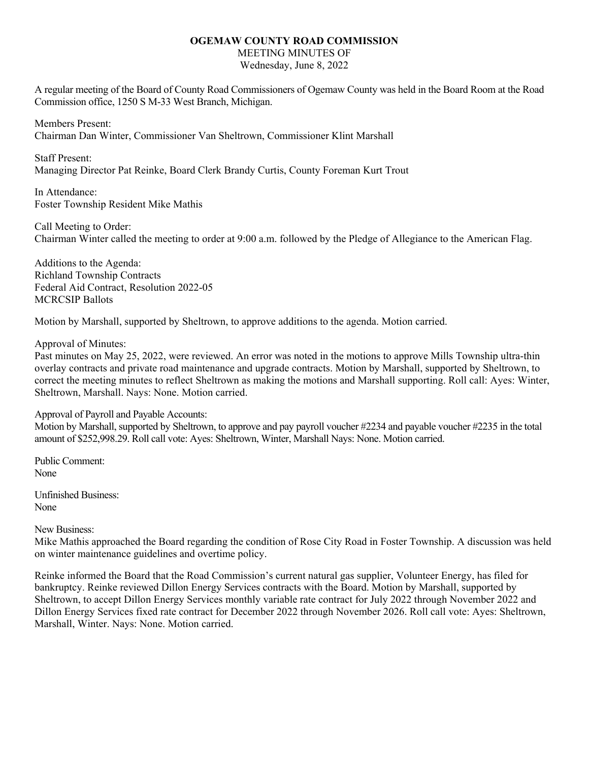## **OGEMAW COUNTY ROAD COMMISSION**

MEETING MINUTES OF Wednesday, June 8, 2022

A regular meeting of the Board of County Road Commissioners of Ogemaw County was held in the Board Room at the Road Commission office, 1250 S M-33 West Branch, Michigan.

Members Present: Chairman Dan Winter, Commissioner Van Sheltrown, Commissioner Klint Marshall

Staff Present: Managing Director Pat Reinke, Board Clerk Brandy Curtis, County Foreman Kurt Trout

In Attendance: Foster Township Resident Mike Mathis

Call Meeting to Order: Chairman Winter called the meeting to order at 9:00 a.m. followed by the Pledge of Allegiance to the American Flag.

Additions to the Agenda: Richland Township Contracts Federal Aid Contract, Resolution 2022-05 MCRCSIP Ballots

Motion by Marshall, supported by Sheltrown, to approve additions to the agenda. Motion carried.

## Approval of Minutes:

Past minutes on May 25, 2022, were reviewed. An error was noted in the motions to approve Mills Township ultra-thin overlay contracts and private road maintenance and upgrade contracts. Motion by Marshall, supported by Sheltrown, to correct the meeting minutes to reflect Sheltrown as making the motions and Marshall supporting. Roll call: Ayes: Winter, Sheltrown, Marshall. Nays: None. Motion carried.

Approval of Payroll and Payable Accounts:

Motion by Marshall, supported by Sheltrown, to approve and pay payroll voucher #2234 and payable voucher #2235 in the total amount of \$252,998.29. Roll call vote: Ayes: Sheltrown, Winter, Marshall Nays: None. Motion carried.

Public Comment: None

Unfinished Business: None

New Business:

Mike Mathis approached the Board regarding the condition of Rose City Road in Foster Township. A discussion was held on winter maintenance guidelines and overtime policy.

Reinke informed the Board that the Road Commission's current natural gas supplier, Volunteer Energy, has filed for bankruptcy. Reinke reviewed Dillon Energy Services contracts with the Board. Motion by Marshall, supported by Sheltrown, to accept Dillon Energy Services monthly variable rate contract for July 2022 through November 2022 and Dillon Energy Services fixed rate contract for December 2022 through November 2026. Roll call vote: Ayes: Sheltrown, Marshall, Winter. Nays: None. Motion carried.